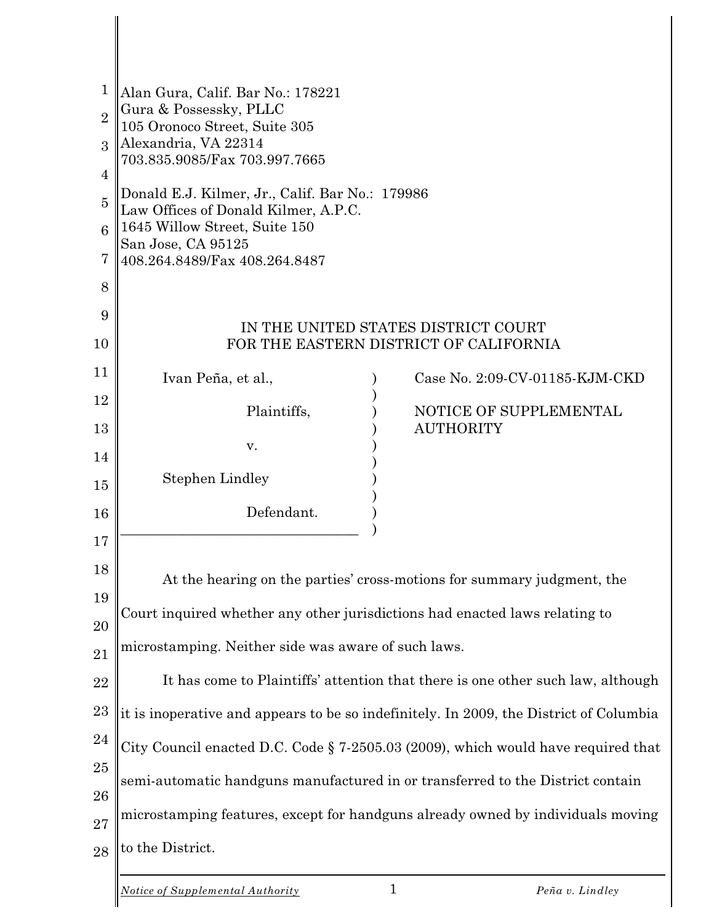| 1              | Alan Gura, Calif. Bar No.: 178221                                                                                        |  |                                |  |  |  |
|----------------|--------------------------------------------------------------------------------------------------------------------------|--|--------------------------------|--|--|--|
| $\overline{2}$ | Gura & Possessky, PLLC<br>105 Oronoco Street, Suite 305                                                                  |  |                                |  |  |  |
| 3              | Alexandria, VA 22314<br>703.835.9085/Fax 703.997.7665                                                                    |  |                                |  |  |  |
| 4              |                                                                                                                          |  |                                |  |  |  |
| $\overline{5}$ | Donald E.J. Kilmer, Jr., Calif. Bar No.: 179986<br>Law Offices of Donald Kilmer, A.P.C.<br>1645 Willow Street, Suite 150 |  |                                |  |  |  |
| 6              |                                                                                                                          |  |                                |  |  |  |
| 7              | San Jose, CA 95125<br>408.264.8489/Fax 408.264.8487                                                                      |  |                                |  |  |  |
| 8              |                                                                                                                          |  |                                |  |  |  |
| 9              | IN THE UNITED STATES DISTRICT COURT                                                                                      |  |                                |  |  |  |
| 10             | FOR THE EASTERN DISTRICT OF CALIFORNIA                                                                                   |  |                                |  |  |  |
| 11             | Ivan Peña, et al.,                                                                                                       |  | Case No. 2:09-CV-01185-KJM-CKD |  |  |  |
| 12             | Plaintiffs,                                                                                                              |  | NOTICE OF SUPPLEMENTAL         |  |  |  |
| 13             |                                                                                                                          |  | <b>AUTHORITY</b>               |  |  |  |
| 14             | v.                                                                                                                       |  |                                |  |  |  |
| 15             | <b>Stephen Lindley</b>                                                                                                   |  |                                |  |  |  |
| 16             | Defendant.                                                                                                               |  |                                |  |  |  |
| 17             |                                                                                                                          |  |                                |  |  |  |
| 18             |                                                                                                                          |  |                                |  |  |  |
| 19             | At the hearing on the parties' cross-motions for summary judgment, the                                                   |  |                                |  |  |  |
| 20             | Court inquired whether any other jurisdictions had enacted laws relating to                                              |  |                                |  |  |  |
| 21             | microstamping. Neither side was aware of such laws.                                                                      |  |                                |  |  |  |
| 22             | It has come to Plaintiffs' attention that there is one other such law, although                                          |  |                                |  |  |  |
| 23             | it is inoperative and appears to be so indefinitely. In 2009, the District of Columbia                                   |  |                                |  |  |  |
| 24             |                                                                                                                          |  |                                |  |  |  |
| 25             | City Council enacted D.C. Code § 7-2505.03 (2009), which would have required that                                        |  |                                |  |  |  |
| 26             | semi-automatic handguns manufactured in or transferred to the District contain                                           |  |                                |  |  |  |
| 27             | microstamping features, except for handguns already owned by individuals moving                                          |  |                                |  |  |  |
| 28             | to the District.                                                                                                         |  |                                |  |  |  |
|                |                                                                                                                          |  |                                |  |  |  |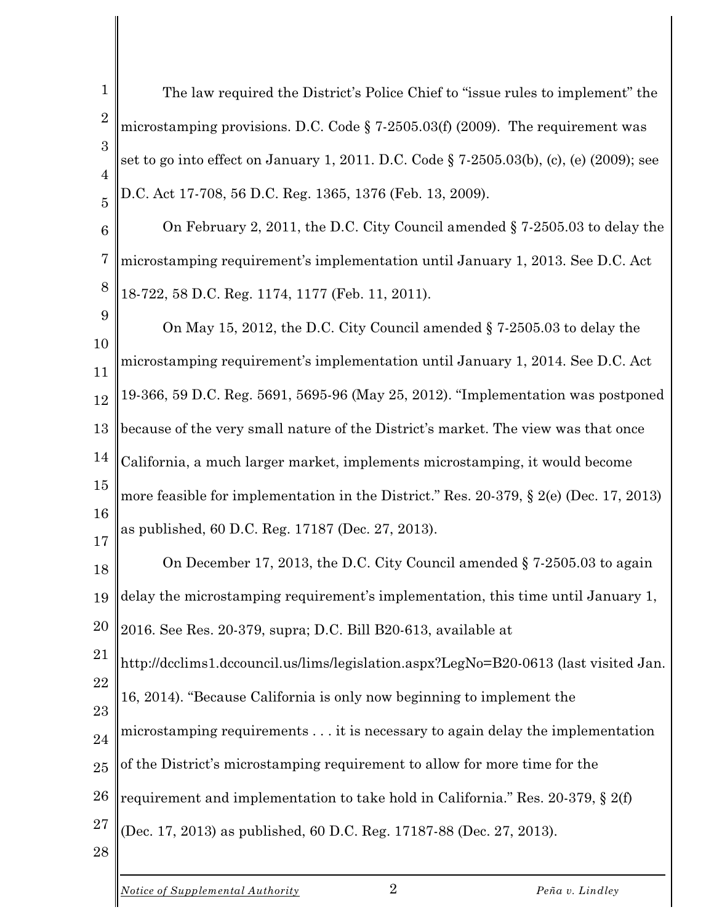1  $\mathcal{D}_{\mathcal{L}}$ 3 4 5 The law required the District's Police Chief to "issue rules to implement" the microstamping provisions. D.C. Code § 7-2505.03(f) (2009). The requirement was set to go into effect on January 1, 2011. D.C. Code § 7-2505.03(b), (c), (e) (2009); see D.C. Act 17-708, 56 D.C. Reg. 1365, 1376 (Feb. 13, 2009).

6 7 8 On February 2, 2011, the D.C. City Council amended § 7-2505.03 to delay the microstamping requirement's implementation until January 1, 2013. See D.C. Act 18-722, 58 D.C. Reg. 1174, 1177 (Feb. 11, 2011).

9 10 11 12 13 14 15 16 17 On May 15, 2012, the D.C. City Council amended § 7-2505.03 to delay the microstamping requirement's implementation until January 1, 2014. See D.C. Act 19-366, 59 D.C. Reg. 5691, 5695-96 (May 25, 2012). "Implementation was postponed because of the very small nature of the District's market. The view was that once California, a much larger market, implements microstamping, it would become more feasible for implementation in the District." Res. 20-379, § 2(e) (Dec. 17, 2013) as published, 60 D.C. Reg. 17187 (Dec. 27, 2013).

18 19 On December 17, 2013, the D.C. City Council amended § 7-2505.03 to again delay the microstamping requirement's implementation, this time until January 1,

20 2016. See Res. 20-379, supra; D.C. Bill B20-613, available at

21 22 http://dcclims1.dccouncil.us/lims/legislation.aspx?LegNo=B20-0613 (last visited Jan.

23 16, 2014). "Because California is only now beginning to implement the

24 microstamping requirements . . . it is necessary to again delay the implementation

25 of the District's microstamping requirement to allow for more time for the

26 requirement and implementation to take hold in California." Res. 20-379, § 2(f)

- 27 (Dec. 17, 2013) as published, 60 D.C. Reg. 17187-88 (Dec. 27, 2013).
- 28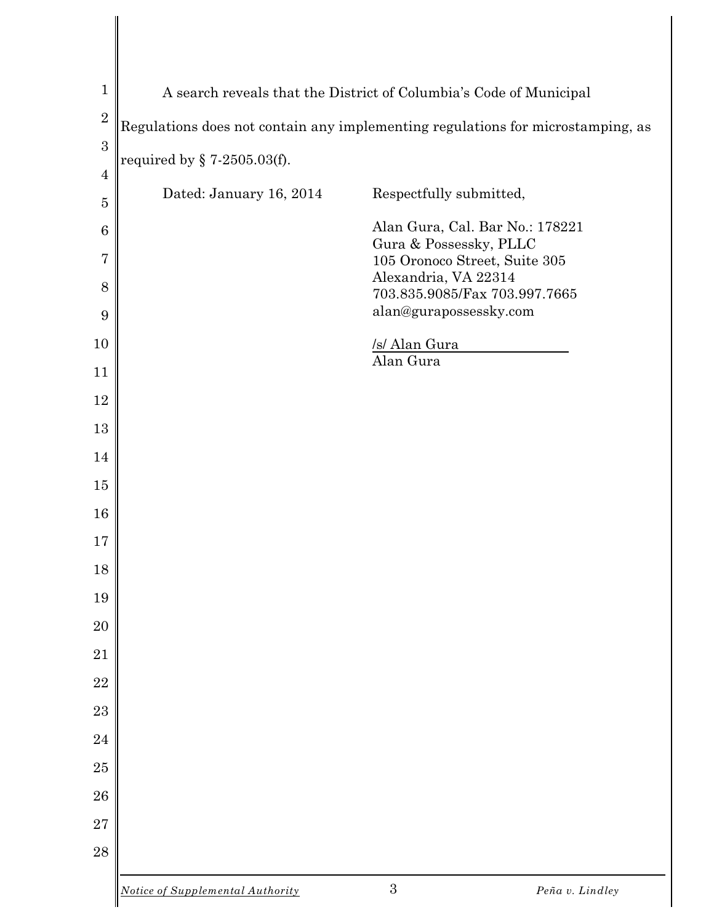| $\mathbf{1}$                   | A search reveals that the District of Columbia's Code of Municipal              |                                                         |                 |  |  |
|--------------------------------|---------------------------------------------------------------------------------|---------------------------------------------------------|-----------------|--|--|
| $\overline{2}$                 | Regulations does not contain any implementing regulations for microstamping, as |                                                         |                 |  |  |
| 3                              | required by $\S$ 7-2505.03(f).                                                  |                                                         |                 |  |  |
| $\overline{4}$                 | Dated: January 16, 2014                                                         | Respectfully submitted,                                 |                 |  |  |
| $\mathbf 5$<br>$6\phantom{.}6$ |                                                                                 | Alan Gura, Cal. Bar No.: 178221                         |                 |  |  |
| $\overline{7}$                 |                                                                                 | Gura & Possessky, PLLC<br>105 Oronoco Street, Suite 305 |                 |  |  |
| 8                              |                                                                                 | Alexandria, VA 22314<br>703.835.9085/Fax 703.997.7665   |                 |  |  |
| 9                              |                                                                                 | alan@gurapossessky.com                                  |                 |  |  |
| 10                             |                                                                                 | /s/ Alan Gura                                           |                 |  |  |
| 11                             |                                                                                 | Alan Gura                                               |                 |  |  |
| 12                             |                                                                                 |                                                         |                 |  |  |
| 13                             |                                                                                 |                                                         |                 |  |  |
| 14                             |                                                                                 |                                                         |                 |  |  |
| 15                             |                                                                                 |                                                         |                 |  |  |
| 16                             |                                                                                 |                                                         |                 |  |  |
| 17                             |                                                                                 |                                                         |                 |  |  |
| 18                             |                                                                                 |                                                         |                 |  |  |
| 19<br>20                       |                                                                                 |                                                         |                 |  |  |
| 21                             |                                                                                 |                                                         |                 |  |  |
| 22                             |                                                                                 |                                                         |                 |  |  |
| 23                             |                                                                                 |                                                         |                 |  |  |
| 24                             |                                                                                 |                                                         |                 |  |  |
| 25                             |                                                                                 |                                                         |                 |  |  |
| 26                             |                                                                                 |                                                         |                 |  |  |
| $\sqrt{27}$                    |                                                                                 |                                                         |                 |  |  |
| 28                             |                                                                                 |                                                         |                 |  |  |
|                                | Notice of Supplemental Authority                                                | 3                                                       | Peña v. Lindley |  |  |